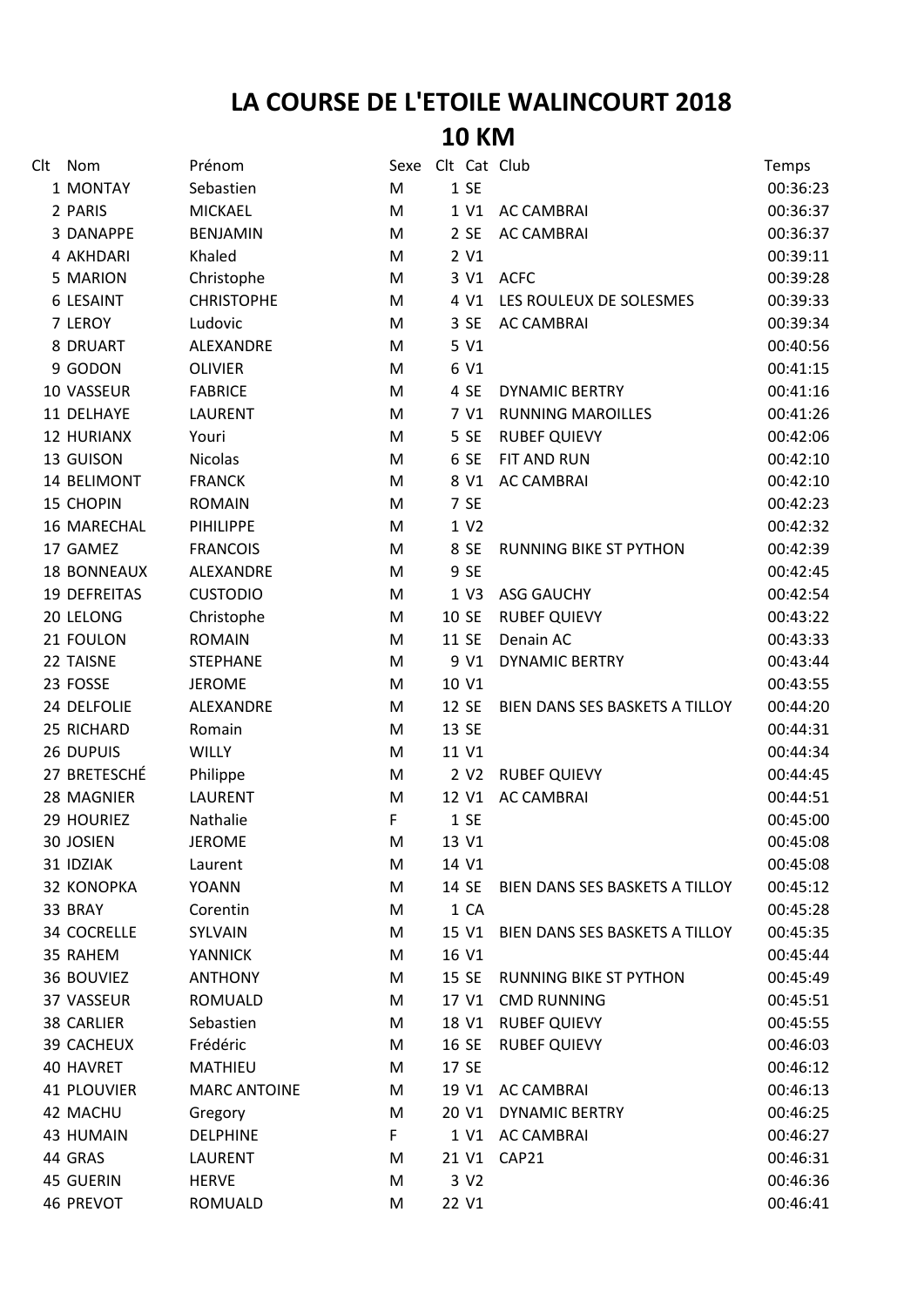## **LA COURSE DE L'ETOILE WALINCOURT 2018 10 KM**

| Clt | Nom                | Prénom              | Sexe Clt Cat Club |                  |                                | Temps    |
|-----|--------------------|---------------------|-------------------|------------------|--------------------------------|----------|
|     | 1 MONTAY           | Sebastien           | M                 | 1 SE             |                                | 00:36:23 |
|     | 2 PARIS            | <b>MICKAEL</b>      | M                 | 1 V1             | <b>AC CAMBRAI</b>              | 00:36:37 |
|     | 3 DANAPPE          | <b>BENJAMIN</b>     | M                 | 2 SE             | <b>AC CAMBRAI</b>              | 00:36:37 |
|     | 4 AKHDARI          | Khaled              | M                 | 2 V1             |                                | 00:39:11 |
|     | 5 MARION           | Christophe          | M                 |                  | 3 V1 ACFC                      | 00:39:28 |
|     | 6 LESAINT          | <b>CHRISTOPHE</b>   | M                 | 4 V1             | LES ROULEUX DE SOLESMES        | 00:39:33 |
|     | 7 LEROY            | Ludovic             | M                 | 3 SE             | <b>AC CAMBRAI</b>              | 00:39:34 |
|     | 8 DRUART           | ALEXANDRE           | M                 | 5 V1             |                                | 00:40:56 |
|     | 9 GODON            | <b>OLIVIER</b>      | M                 | 6 V1             |                                | 00:41:15 |
|     | 10 VASSEUR         | <b>FABRICE</b>      | M                 | 4 SE             | <b>DYNAMIC BERTRY</b>          | 00:41:16 |
|     | 11 DELHAYE         | <b>LAURENT</b>      | M                 | 7 V1             | <b>RUNNING MAROILLES</b>       | 00:41:26 |
|     | <b>12 HURIANX</b>  | Youri               | M                 | 5 SE             | <b>RUBEF QUIEVY</b>            | 00:42:06 |
|     | 13 GUISON          | <b>Nicolas</b>      | M                 | 6 SE             | FIT AND RUN                    | 00:42:10 |
|     | 14 BELIMONT        | <b>FRANCK</b>       | M                 | 8 V1             | <b>AC CAMBRAI</b>              | 00:42:10 |
|     | 15 CHOPIN          | <b>ROMAIN</b>       | M                 | 7 SE             |                                | 00:42:23 |
|     | 16 MARECHAL        | PIHILIPPE           | M                 | 1 V2             |                                | 00:42:32 |
|     | 17 GAMEZ           | <b>FRANCOIS</b>     | M                 | 8 SE             | <b>RUNNING BIKE ST PYTHON</b>  | 00:42:39 |
|     | <b>18 BONNEAUX</b> | ALEXANDRE           | M                 | 9 SE             |                                | 00:42:45 |
|     | 19 DEFREITAS       | <b>CUSTODIO</b>     | M                 | 1 V3             | <b>ASG GAUCHY</b>              | 00:42:54 |
|     | 20 LELONG          | Christophe          | M                 | 10 SE            | <b>RUBEF QUIEVY</b>            | 00:43:22 |
|     | 21 FOULON          | <b>ROMAIN</b>       | M                 | 11 SE            | Denain AC                      | 00:43:33 |
|     | 22 TAISNE          | <b>STEPHANE</b>     | M                 | 9 V1             | <b>DYNAMIC BERTRY</b>          | 00:43:44 |
|     | 23 FOSSE           | <b>JEROME</b>       | M                 | 10 V1            |                                | 00:43:55 |
|     | 24 DELFOLIE        | ALEXANDRE           | M                 | 12 SE            | BIEN DANS SES BASKETS A TILLOY | 00:44:20 |
|     | 25 RICHARD         | Romain              | M                 | 13 SE            |                                | 00:44:31 |
|     | 26 DUPUIS          | WILLY               | M                 | 11 V1            |                                | 00:44:34 |
|     | 27 BRETESCHÉ       | Philippe            | M                 | 2 V <sub>2</sub> | <b>RUBEF QUIEVY</b>            | 00:44:45 |
|     | 28 MAGNIER         | <b>LAURENT</b>      | M                 | 12 V1            | <b>AC CAMBRAI</b>              | 00:44:51 |
|     | 29 HOURIEZ         | Nathalie            | F                 | 1 SE             |                                | 00:45:00 |
|     | 30 JOSIEN          | <b>JEROME</b>       | M                 | 13 V1            |                                | 00:45:08 |
|     | 31 IDZIAK          | Laurent             | M                 | 14 V1            |                                | 00:45:08 |
|     | 32 KONOPKA         | <b>YOANN</b>        | M                 | 14 SE            | BIEN DANS SES BASKETS A TILLOY | 00:45:12 |
|     | 33 BRAY            | Corentin            | M                 | 1 CA             |                                | 00:45:28 |
|     | 34 COCRELLE        | SYLVAIN             | M                 | 15 V1            | BIEN DANS SES BASKETS A TILLOY | 00:45:35 |
|     | 35 RAHEM           | <b>YANNICK</b>      | M                 | 16 V1            |                                | 00:45:44 |
|     | 36 BOUVIEZ         | <b>ANTHONY</b>      | M                 | 15 SE            | <b>RUNNING BIKE ST PYTHON</b>  | 00:45:49 |
|     | 37 VASSEUR         | ROMUALD             | M                 | 17 V1            | <b>CMD RUNNING</b>             | 00:45:51 |
|     | <b>38 CARLIER</b>  | Sebastien           | M                 | 18 V1            | <b>RUBEF QUIEVY</b>            | 00:45:55 |
|     | 39 CACHEUX         | Frédéric            | M                 | 16 SE            | <b>RUBEF QUIEVY</b>            | 00:46:03 |
|     | <b>40 HAVRET</b>   | <b>MATHIEU</b>      | M                 | 17 SE            |                                | 00:46:12 |
|     | <b>41 PLOUVIER</b> | <b>MARC ANTOINE</b> | M                 | 19 V1            | <b>AC CAMBRAI</b>              | 00:46:13 |
|     | 42 MACHU           | Gregory             | M                 | 20 V1            | <b>DYNAMIC BERTRY</b>          | 00:46:25 |
|     | <b>43 HUMAIN</b>   | <b>DELPHINE</b>     | F                 | 1 V1             | <b>AC CAMBRAI</b>              | 00:46:27 |
|     | 44 GRAS            | LAURENT             | M                 | 21 V1            | CAP21                          | 00:46:31 |
|     | 45 GUERIN          | <b>HERVE</b>        | M                 | 3 V <sub>2</sub> |                                | 00:46:36 |
|     | 46 PREVOT          | ROMUALD             | M                 | 22 V1            |                                | 00:46:41 |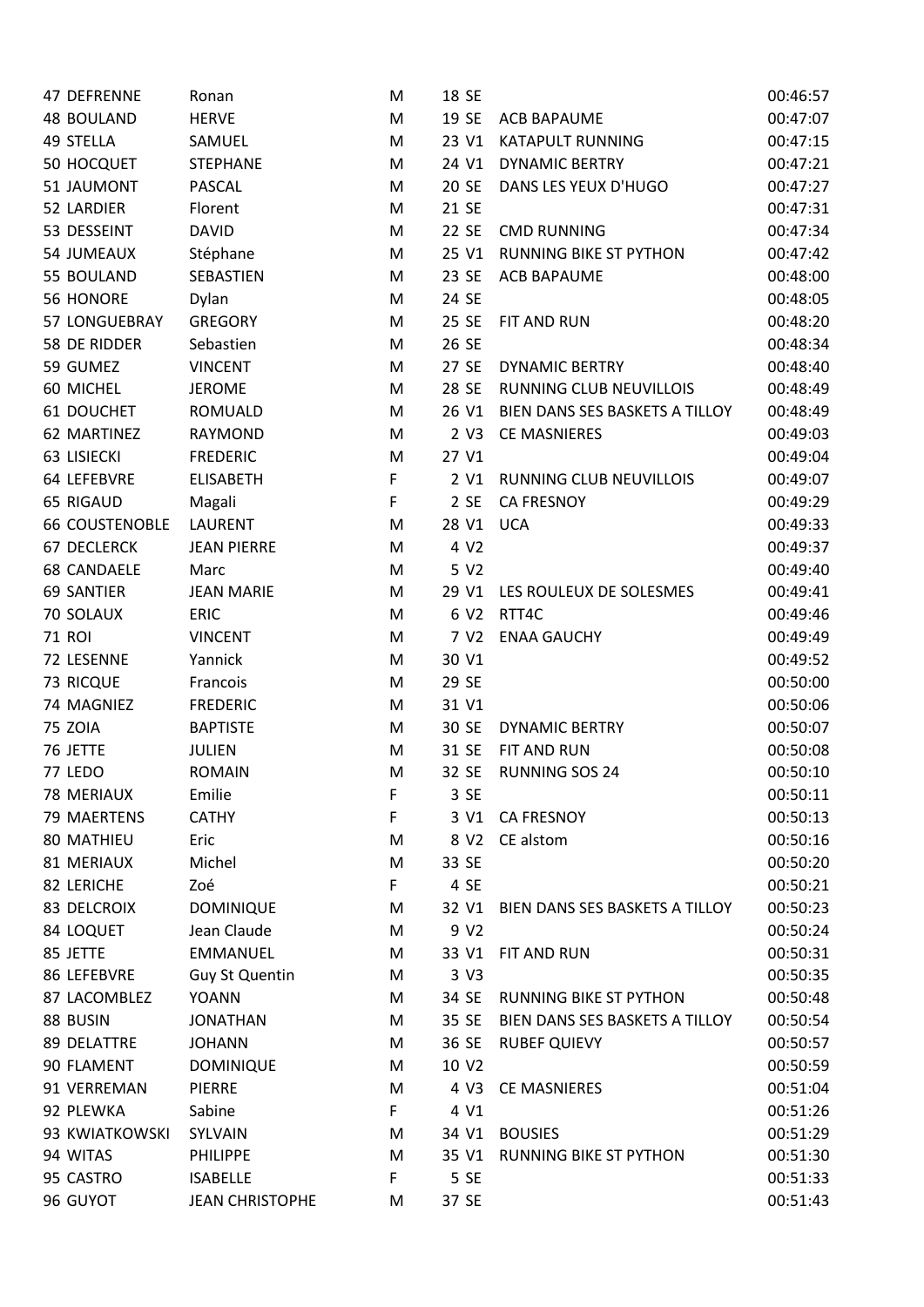| 47 DEFRENNE           | Ronan                  | M  | 18 SE             |                                | 00:46:57 |
|-----------------------|------------------------|----|-------------------|--------------------------------|----------|
| <b>48 BOULAND</b>     | <b>HERVE</b>           | M  | 19 SE             | <b>ACB BAPAUME</b>             | 00:47:07 |
| 49 STELLA             | SAMUEL                 | M  | 23 V1             | <b>KATAPULT RUNNING</b>        | 00:47:15 |
| 50 HOCQUET            | <b>STEPHANE</b>        | M  | 24 V1             | <b>DYNAMIC BERTRY</b>          | 00:47:21 |
| 51 JAUMONT            | PASCAL                 | M  | 20 SE             | DANS LES YEUX D'HUGO           | 00:47:27 |
| 52 LARDIER            | Florent                | M  | 21 SE             |                                | 00:47:31 |
| 53 DESSEINT           | <b>DAVID</b>           | M  | 22 SE             | <b>CMD RUNNING</b>             | 00:47:34 |
| 54 JUMEAUX            | Stéphane               | M  | 25 V1             | <b>RUNNING BIKE ST PYTHON</b>  | 00:47:42 |
| 55 BOULAND            | SEBASTIEN              | M  | 23 SE             | <b>ACB BAPAUME</b>             | 00:48:00 |
| 56 HONORE             | Dylan                  | M  | 24 SE             |                                | 00:48:05 |
| 57 LONGUEBRAY         | <b>GREGORY</b>         | M  | 25 SE             | FIT AND RUN                    | 00:48:20 |
| 58 DE RIDDER          | Sebastien              | M  | 26 SE             |                                | 00:48:34 |
| 59 GUMEZ              | <b>VINCENT</b>         | M  | 27 SE             | <b>DYNAMIC BERTRY</b>          | 00:48:40 |
| 60 MICHEL             | <b>JEROME</b>          | M  | 28 SE             | RUNNING CLUB NEUVILLOIS        | 00:48:49 |
| 61 DOUCHET            | <b>ROMUALD</b>         | M  | 26 V1             | BIEN DANS SES BASKETS A TILLOY | 00:48:49 |
| 62 MARTINEZ           | RAYMOND                | M  | 2 <sub>V</sub> 3  | <b>CE MASNIERES</b>            | 00:49:03 |
| 63 LISIECKI           | <b>FREDERIC</b>        | M  | 27 V1             |                                | 00:49:04 |
| 64 LEFEBVRE           | <b>ELISABETH</b>       | F  | 2 V1              | RUNNING CLUB NEUVILLOIS        | 00:49:07 |
| 65 RIGAUD             | Magali                 | F  | 2 SE              | <b>CA FRESNOY</b>              | 00:49:29 |
| <b>66 COUSTENOBLE</b> | <b>LAURENT</b>         | M  | 28 V1             | <b>UCA</b>                     | 00:49:33 |
| <b>67 DECLERCK</b>    | <b>JEAN PIERRE</b>     | M  | 4 V2              |                                | 00:49:37 |
| <b>68 CANDAELE</b>    | Marc                   | M  | 5 V2              |                                | 00:49:40 |
| 69 SANTIER            | <b>JEAN MARIE</b>      | M  | 29 V1             | LES ROULEUX DE SOLESMES        | 00:49:41 |
| 70 SOLAUX             | <b>ERIC</b>            | M  | 6 V <sub>2</sub>  | RTT4C                          | 00:49:46 |
| <b>71 ROI</b>         | <b>VINCENT</b>         | M  | 7 V <sub>2</sub>  | <b>ENAA GAUCHY</b>             | 00:49:49 |
| 72 LESENNE            | Yannick                | M  | 30 V1             |                                | 00:49:52 |
| 73 RICQUE             | Francois               | M  | 29 SE             |                                | 00:50:00 |
| 74 MAGNIEZ            | <b>FREDERIC</b>        | M  | 31 V1             |                                | 00:50:06 |
| <b>75 ZOIA</b>        | <b>BAPTISTE</b>        | M  | 30 SE             | <b>DYNAMIC BERTRY</b>          | 00:50:07 |
| 76 JETTE              | <b>JULIEN</b>          | M  | 31 SE             | FIT AND RUN                    | 00:50:08 |
| 77 LEDO               | <b>ROMAIN</b>          | M  | 32 SE             | <b>RUNNING SOS 24</b>          | 00:50:10 |
| <b>78 MERIAUX</b>     | Emilie                 | F  | 3 SE              |                                | 00:50:11 |
| 79 MAERTENS           | <b>CATHY</b>           | F  | 3 V1              | <b>CA FRESNOY</b>              | 00:50:13 |
| 80 MATHIEU            | Eric                   | M  | 8 V <sub>2</sub>  | CE alstom                      | 00:50:16 |
| 81 MERIAUX            | Michel                 | M  | 33 SE             |                                | 00:50:20 |
| 82 LERICHE            | Zoé                    | F. | 4 SE              |                                | 00:50:21 |
| 83 DELCROIX           | <b>DOMINIQUE</b>       | M  | 32 V1             | BIEN DANS SES BASKETS A TILLOY | 00:50:23 |
| 84 LOQUET             | Jean Claude            | M  | 9 V <sub>2</sub>  |                                | 00:50:24 |
| 85 JETTE              | <b>EMMANUEL</b>        | M  | 33 V1             | FIT AND RUN                    | 00:50:31 |
| 86 LEFEBVRE           | <b>Guy St Quentin</b>  | M  | 3 V3              |                                | 00:50:35 |
| 87 LACOMBLEZ          | <b>YOANN</b>           | M  | 34 SE             | RUNNING BIKE ST PYTHON         | 00:50:48 |
| 88 BUSIN              | <b>JONATHAN</b>        | M  | 35 SE             | BIEN DANS SES BASKETS A TILLOY | 00:50:54 |
| 89 DELATTRE           | <b>JOHANN</b>          | M  | 36 SE             | <b>RUBEF QUIEVY</b>            | 00:50:57 |
| 90 FLAMENT            | <b>DOMINIQUE</b>       | M  | 10 V <sub>2</sub> |                                | 00:50:59 |
| 91 VERREMAN           | <b>PIERRE</b>          | M  | 4 V3              | <b>CE MASNIERES</b>            | 00:51:04 |
| 92 PLEWKA             | Sabine                 | F  | 4 V1              |                                | 00:51:26 |
| 93 KWIATKOWSKI        | SYLVAIN                | M  | 34 V1             | <b>BOUSIES</b>                 | 00:51:29 |
| 94 WITAS              | <b>PHILIPPE</b>        | M  | 35 V1             | <b>RUNNING BIKE ST PYTHON</b>  | 00:51:30 |
| 95 CASTRO             | <b>ISABELLE</b>        | F  | 5 SE              |                                | 00:51:33 |
| 96 GUYOT              | <b>JEAN CHRISTOPHE</b> | M  | 37 SE             |                                | 00:51:43 |
|                       |                        |    |                   |                                |          |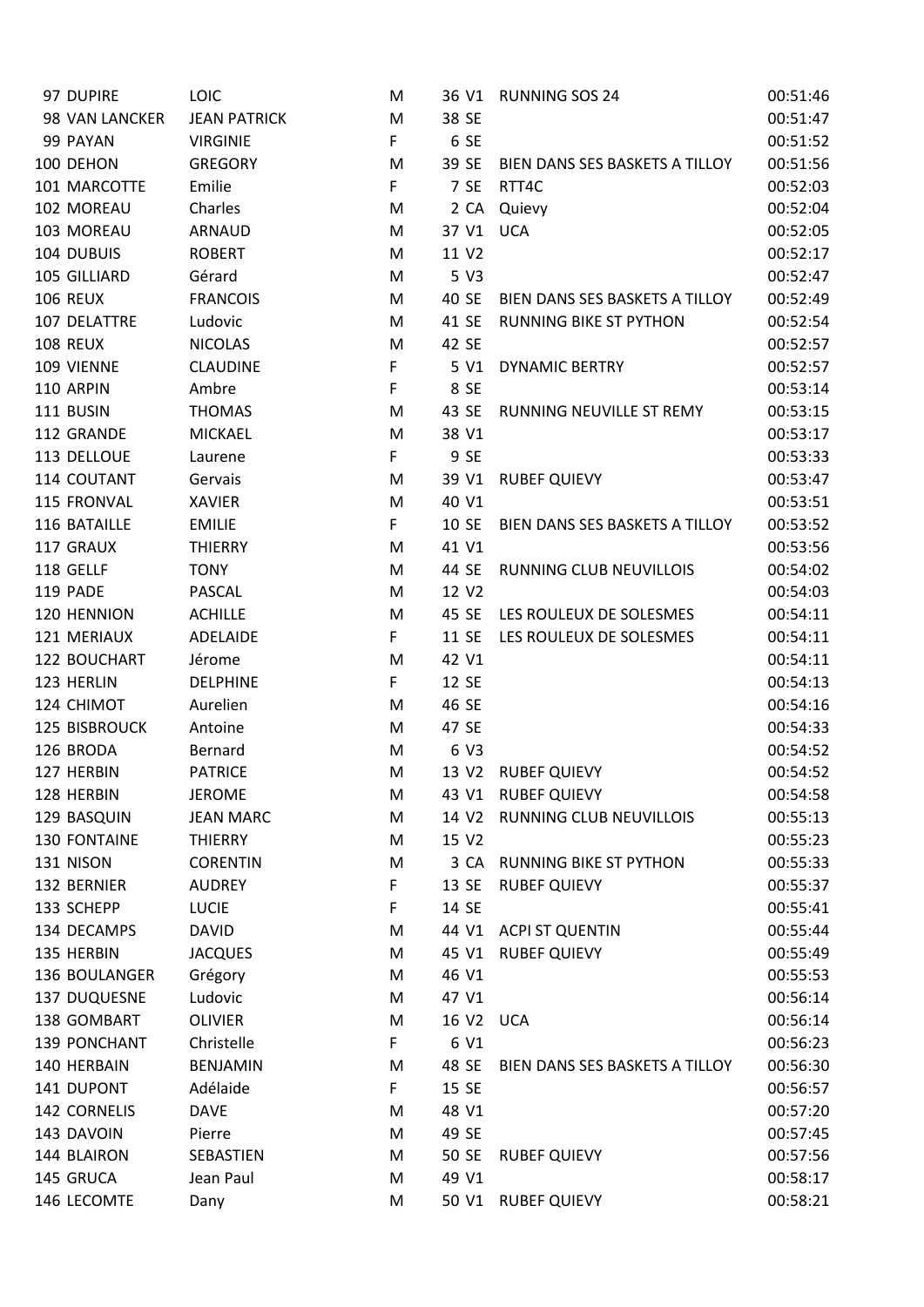| 97 DUPIRE       | <b>LOIC</b>         | M |       | 36 V1 RUNNING SOS 24           | 00:51:46 |
|-----------------|---------------------|---|-------|--------------------------------|----------|
| 98 VAN LANCKER  | <b>JEAN PATRICK</b> | M | 38 SE |                                | 00:51:47 |
| 99 PAYAN        | <b>VIRGINIE</b>     | F | 6 SE  |                                | 00:51:52 |
| 100 DEHON       | <b>GREGORY</b>      | M | 39 SE | BIEN DANS SES BASKETS A TILLOY | 00:51:56 |
| 101 MARCOTTE    | Emilie              | F | 7 SE  | RTT4C                          | 00:52:03 |
| 102 MOREAU      | Charles             | M | 2 CA  | Quievy                         | 00:52:04 |
| 103 MOREAU      | ARNAUD              | M | 37 V1 | <b>UCA</b>                     | 00:52:05 |
| 104 DUBUIS      | <b>ROBERT</b>       | M | 11 V2 |                                | 00:52:17 |
| 105 GILLIARD    | Gérard              | M | 5 V3  |                                | 00:52:47 |
| <b>106 REUX</b> | <b>FRANCOIS</b>     | M | 40 SE | BIEN DANS SES BASKETS A TILLOY | 00:52:49 |
| 107 DELATTRE    | Ludovic             | M | 41 SE | <b>RUNNING BIKE ST PYTHON</b>  | 00:52:54 |
| <b>108 REUX</b> | <b>NICOLAS</b>      | M | 42 SE |                                | 00:52:57 |
| 109 VIENNE      | <b>CLAUDINE</b>     | F | 5 V1  | <b>DYNAMIC BERTRY</b>          | 00:52:57 |
| 110 ARPIN       | Ambre               | F | 8 SE  |                                | 00:53:14 |
| 111 BUSIN       | <b>THOMAS</b>       | M | 43 SE | RUNNING NEUVILLE ST REMY       | 00:53:15 |
| 112 GRANDE      | <b>MICKAEL</b>      | M | 38 V1 |                                | 00:53:17 |
| 113 DELLOUE     | Laurene             | F | 9 SE  |                                | 00:53:33 |
| 114 COUTANT     | Gervais             | M | 39 V1 | <b>RUBEF QUIEVY</b>            | 00:53:47 |
| 115 FRONVAL     | <b>XAVIER</b>       | M | 40 V1 |                                | 00:53:51 |
| 116 BATAILLE    | <b>EMILIE</b>       | F | 10 SE | BIEN DANS SES BASKETS A TILLOY | 00:53:52 |
| 117 GRAUX       | <b>THIERRY</b>      | M | 41 V1 |                                | 00:53:56 |
| 118 GELLF       | <b>TONY</b>         | M | 44 SE | <b>RUNNING CLUB NEUVILLOIS</b> | 00:54:02 |
| 119 PADE        | PASCAL              | M | 12 V2 |                                | 00:54:03 |
| 120 HENNION     | <b>ACHILLE</b>      | M | 45 SE | LES ROULEUX DE SOLESMES        | 00:54:11 |
| 121 MERIAUX     | ADELAIDE            | F | 11 SE | LES ROULEUX DE SOLESMES        | 00:54:11 |
| 122 BOUCHART    | Jérome              | M | 42 V1 |                                | 00:54:11 |
| 123 HERLIN      | <b>DELPHINE</b>     | F | 12 SE |                                | 00:54:13 |
| 124 CHIMOT      | Aurelien            | M | 46 SE |                                | 00:54:16 |
| 125 BISBROUCK   | Antoine             | M | 47 SE |                                | 00:54:33 |
| 126 BRODA       | Bernard             | M | 6 V3  |                                | 00:54:52 |
| 127 HERBIN      | <b>PATRICE</b>      | M | 13 V2 | <b>RUBEF QUIEVY</b>            | 00:54:52 |
| 128 HERBIN      | <b>JEROME</b>       | M |       | 43 V1 RUBEF QUIEVY             | 00:54:58 |
| 129 BASQUIN     | <b>JEAN MARC</b>    | M | 14 V2 | <b>RUNNING CLUB NEUVILLOIS</b> | 00:55:13 |
| 130 FONTAINE    | <b>THIERRY</b>      | M | 15 V2 |                                | 00:55:23 |
| 131 NISON       | <b>CORENTIN</b>     | M | 3 CA  | <b>RUNNING BIKE ST PYTHON</b>  | 00:55:33 |
| 132 BERNIER     | <b>AUDREY</b>       | F | 13 SE | <b>RUBEF QUIEVY</b>            | 00:55:37 |
| 133 SCHEPP      | <b>LUCIE</b>        | F | 14 SE |                                | 00:55:41 |
| 134 DECAMPS     | <b>DAVID</b>        | M | 44 V1 | <b>ACPI ST QUENTIN</b>         | 00:55:44 |
| 135 HERBIN      | <b>JACQUES</b>      | M | 45 V1 | <b>RUBEF QUIEVY</b>            | 00:55:49 |
| 136 BOULANGER   | Grégory             | M | 46 V1 |                                | 00:55:53 |
| 137 DUQUESNE    | Ludovic             | M | 47 V1 |                                | 00:56:14 |
| 138 GOMBART     | <b>OLIVIER</b>      | M | 16 V2 | <b>UCA</b>                     | 00:56:14 |
| 139 PONCHANT    | Christelle          | F | 6 V1  |                                | 00:56:23 |
| 140 HERBAIN     | <b>BENJAMIN</b>     | M | 48 SE | BIEN DANS SES BASKETS A TILLOY | 00:56:30 |
| 141 DUPONT      | Adélaide            | F | 15 SE |                                | 00:56:57 |
| 142 CORNELIS    | <b>DAVE</b>         | M | 48 V1 |                                | 00:57:20 |
| 143 DAVOIN      | Pierre              | M | 49 SE |                                | 00:57:45 |
| 144 BLAIRON     | SEBASTIEN           | M | 50 SE | <b>RUBEF QUIEVY</b>            | 00:57:56 |
| 145 GRUCA       | Jean Paul           | M | 49 V1 |                                | 00:58:17 |
| 146 LECOMTE     | Dany                | M | 50 V1 | <b>RUBEF QUIEVY</b>            | 00:58:21 |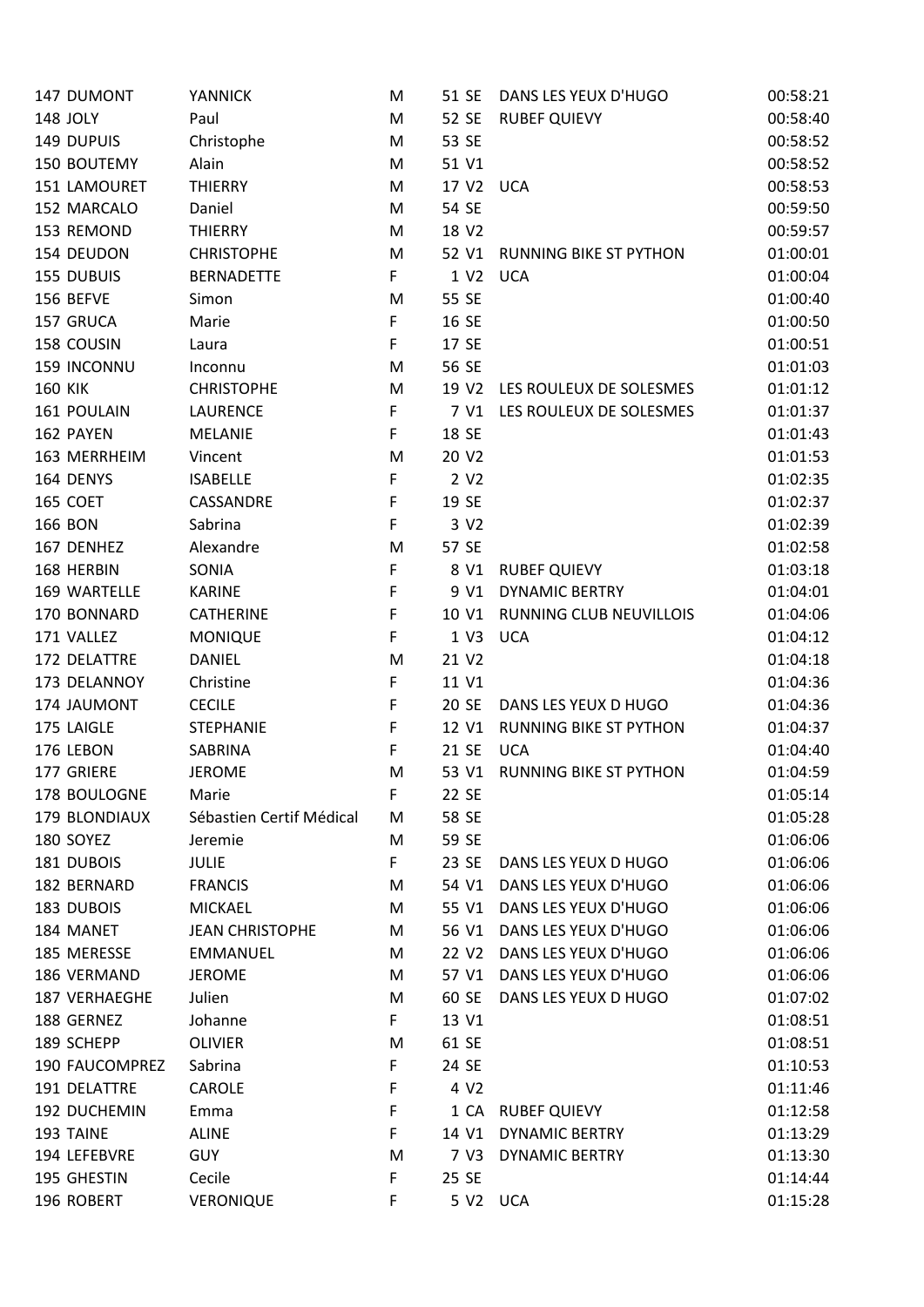| 147 DUMONT     | <b>YANNICK</b>           | M | 51 SE             | DANS LES YEUX D'HUGO          | 00:58:21 |
|----------------|--------------------------|---|-------------------|-------------------------------|----------|
| 148 JOLY       | Paul                     | M | 52 SE             | <b>RUBEF QUIEVY</b>           | 00:58:40 |
| 149 DUPUIS     | Christophe               | M | 53 SE             |                               | 00:58:52 |
| 150 BOUTEMY    | Alain                    | M | 51 V1             |                               | 00:58:52 |
| 151 LAMOURET   | <b>THIERRY</b>           | M | 17 V2             | <b>UCA</b>                    | 00:58:53 |
| 152 MARCALO    | Daniel                   | M | 54 SE             |                               | 00:59:50 |
| 153 REMOND     | <b>THIERRY</b>           | M | 18 V2             |                               | 00:59:57 |
| 154 DEUDON     | <b>CHRISTOPHE</b>        | M | 52 V1             | <b>RUNNING BIKE ST PYTHON</b> | 01:00:01 |
| 155 DUBUIS     | <b>BERNADETTE</b>        | F | 1 V <sub>2</sub>  | <b>UCA</b>                    | 01:00:04 |
| 156 BEFVE      | Simon                    | M | 55 SE             |                               | 01:00:40 |
| 157 GRUCA      | Marie                    | F | 16 SE             |                               | 01:00:50 |
| 158 COUSIN     | Laura                    | F | 17 SE             |                               | 01:00:51 |
| 159 INCONNU    | Inconnu                  | M | 56 SE             |                               | 01:01:03 |
| <b>160 KIK</b> | <b>CHRISTOPHE</b>        | M | 19 V <sub>2</sub> | LES ROULEUX DE SOLESMES       | 01:01:12 |
| 161 POULAIN    | <b>LAURENCE</b>          | F | 7 V1              | LES ROULEUX DE SOLESMES       | 01:01:37 |
| 162 PAYEN      | <b>MELANIE</b>           | F | 18 SE             |                               | 01:01:43 |
| 163 MERRHEIM   | Vincent                  | M | 20 V2             |                               | 01:01:53 |
| 164 DENYS      | <b>ISABELLE</b>          | F | 2 V <sub>2</sub>  |                               | 01:02:35 |
| 165 COET       | CASSANDRE                | F | 19 SE             |                               | 01:02:37 |
| <b>166 BON</b> | Sabrina                  | F | 3 V2              |                               | 01:02:39 |
| 167 DENHEZ     | Alexandre                | M | 57 SE             |                               | 01:02:58 |
| 168 HERBIN     | SONIA                    | F | 8 V1              | <b>RUBEF QUIEVY</b>           | 01:03:18 |
| 169 WARTELLE   | <b>KARINE</b>            | F | 9 V1              | <b>DYNAMIC BERTRY</b>         | 01:04:01 |
| 170 BONNARD    | <b>CATHERINE</b>         | F | 10 V1             | RUNNING CLUB NEUVILLOIS       | 01:04:06 |
| 171 VALLEZ     | <b>MONIQUE</b>           | F | 1 V3              | <b>UCA</b>                    | 01:04:12 |
| 172 DELATTRE   | <b>DANIEL</b>            | M | 21 V2             |                               | 01:04:18 |
| 173 DELANNOY   | Christine                | F | 11 V1             |                               | 01:04:36 |
| 174 JAUMONT    | <b>CECILE</b>            | F | 20 SE             | DANS LES YEUX D HUGO          | 01:04:36 |
| 175 LAIGLE     | <b>STEPHANIE</b>         | F | 12 V1             | <b>RUNNING BIKE ST PYTHON</b> | 01:04:37 |
| 176 LEBON      | SABRINA                  | F | 21 SE             | <b>UCA</b>                    | 01:04:40 |
| 177 GRIERE     | <b>JEROME</b>            | M | 53 V1             | RUNNING BIKE ST PYTHON        | 01:04:59 |
| 178 BOULOGNE   | Marie                    | F | 22 SE             |                               | 01:05:14 |
| 179 BLONDIAUX  | Sébastien Certif Médical | M | 58 SE             |                               | 01:05:28 |
| 180 SOYEZ      | Jeremie                  | M | 59 SE             |                               | 01:06:06 |
| 181 DUBOIS     | <b>JULIE</b>             | F | 23 SE             | DANS LES YEUX D HUGO          | 01:06:06 |
| 182 BERNARD    | <b>FRANCIS</b>           | M | 54 V1             | DANS LES YEUX D'HUGO          | 01:06:06 |
| 183 DUBOIS     | <b>MICKAEL</b>           | M | 55 V1             | DANS LES YEUX D'HUGO          | 01:06:06 |
| 184 MANET      | <b>JEAN CHRISTOPHE</b>   | M | 56 V1             | DANS LES YEUX D'HUGO          | 01:06:06 |
| 185 MERESSE    | <b>EMMANUEL</b>          | M | 22 V <sub>2</sub> | DANS LES YEUX D'HUGO          | 01:06:06 |
| 186 VERMAND    | <b>JEROME</b>            | M | 57 V1             | DANS LES YEUX D'HUGO          | 01:06:06 |
| 187 VERHAEGHE  | Julien                   | M | 60 SE             | DANS LES YEUX D HUGO          | 01:07:02 |
| 188 GERNEZ     | Johanne                  | F | 13 V1             |                               | 01:08:51 |
| 189 SCHEPP     | OLIVIER                  | M | 61 SE             |                               | 01:08:51 |
| 190 FAUCOMPREZ | Sabrina                  | F | 24 SE             |                               | 01:10:53 |
| 191 DELATTRE   | <b>CAROLE</b>            | F | 4 V <sub>2</sub>  |                               | 01:11:46 |
| 192 DUCHEMIN   | Emma                     | F | 1 CA              | <b>RUBEF QUIEVY</b>           | 01:12:58 |
| 193 TAINE      | <b>ALINE</b>             | F | 14 V1             | <b>DYNAMIC BERTRY</b>         | 01:13:29 |
| 194 LEFEBVRE   | <b>GUY</b>               | M | 7 V3              | <b>DYNAMIC BERTRY</b>         | 01:13:30 |
| 195 GHESTIN    | Cecile                   | F | 25 SE             |                               | 01:14:44 |
| 196 ROBERT     | <b>VERONIQUE</b>         | F | 5 V2 UCA          |                               | 01:15:28 |
|                |                          |   |                   |                               |          |